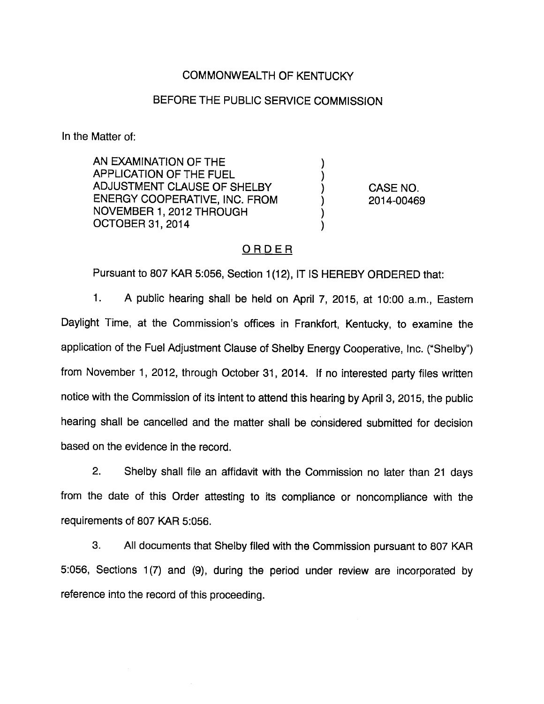# COMMONWEALTH OF KENTUCKY

## BEFORE THE PUBLIC SERVICE COMMISSION

In the Matter of:

AN EXAMINATION OF THE APPLICATION OF THE FUEL ADJUSTMENT CLAUSE OF SHELBY ENERGY COOPERATIVE, INC. FROM NOVEMBER 1, 2012 THROUGH OCTOBER 31, 2014

CASE NO. 2014-00469

### ORDER

Pursuant to 807 KAR 5:056, Section 1(12), IT IS HEREBY ORDERED that:

1. A public hearing shall be held on April 7, 2015, at 10:00 a.m., Eastem Daylight Time, at the Commission's offices in Frankfort, Kentucky, to examine the application of the Fuel Adjustment Clause of Shelby Energy Cooperative, Inc. ("Shelby") from November 1, 2012, through October 31, 2014. If no interested party files written notice with the Commission of its intent to attend this hearing by April 3, 2015, the public hearing shall be cancelled and the matter shall be considered submitted for decision based on the evidence in the record.

2. Shelby shall file an affidavit with the Commission no later than 21 days from the date of this Order attesting to its compliance or noncompliance with the requirements of 807 KAR 5:056.

3. All documents that Shelby filed with the Commission pursuant to 807 KAR 5:056, Sections 1(7) and (9), during the period under review are incorporated by reference into the record of this proceeding.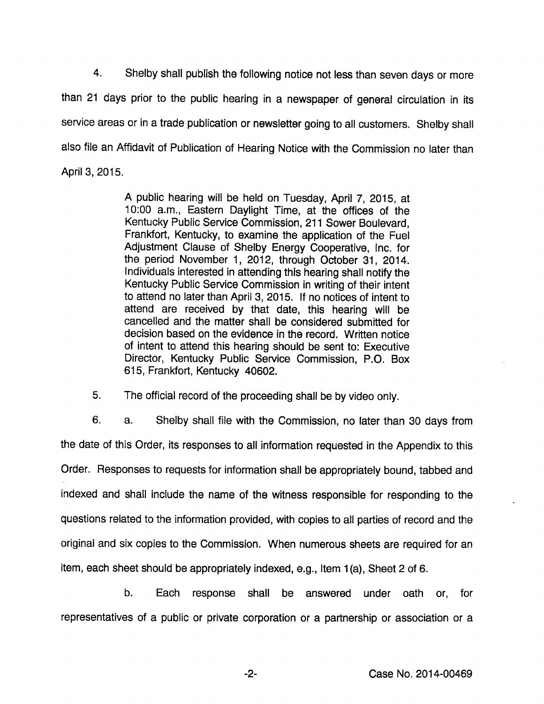4. Shelby shall publish the following notice not less than seven days or more than 21 days prior to the public hearing in a newspaper of general circulation in its service areas or in a trade publication or newsletter going to all customers. Shelby shall also file an Affidavit of Publication of Hearing Notice with the Commission no later than April 3, 2015.

> A public hearing will be held on Tuesday, April 7, 2015, at 10:00 a.m.. Eastern Daylight Time, at the offices of the Kentucky Public Service Commission, 211 Sower Boulevard, Frankfort, Kentucky, to examine the application of the Fuel Adjustment Clause of Shelby Energy Cooperative, Inc. for the period November 1, 2012, through October 31, 2014. Individuals interested in attending this hearing shall notify the Kentucky Public Service Commission in writing of their intent to attend no later than April 3, 2015. If no notices of intent to attend are received by that date, this hearing will be cancelled and the matter shall be considered submitted for decision based on the evidence in the record. Written notice of intent to attend this hearing should be sent to: Executive Director, Kentucky Public Service Commission, P.O. Box 615, Frankfort, Kentucky 40602.

5. The official record of the proceeding shall be by video only.

6. a. Shelby shall file with the Commission, no later than 30 days from the date of this Order, its responses to all information requested in the Appendix to this Order. Responses to requests for information shall be appropriately bound, tabbed and indexed and shall Include the name of the witness responsible for responding to the questions related to the information provided, with copies to all parties of record and the original and six copies to the Commission. When numerous sheets are required for an item, each sheet should be appropriately indexed, e.g.. Item 1(a). Sheet 2 of 6.

b. Each response shall be answered under oath or, for representatives of a public or private corporation or a partnership or association or a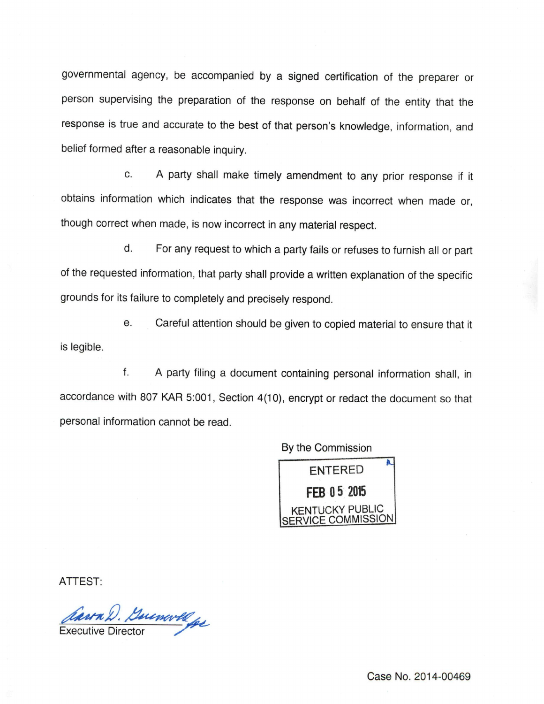governmental agency, be accompanied by a signed certification of the preparer or person supervising the preparation of the response on behalf of the entity that the response is true and accurate to the best of that person's knowledge, information, and belief formed after a reasonable inquiry.

c. A party shall make timely amendment to any prior response if it obtains information which indicates that the response was incorrect when made or, though correct when made, is now incorrect in anymaterial respect.

d. For any request to which a party fails or refuses to furnish all or part of the requested information, that party shall provide a written explanation of the specific grounds for its failure to completely and precisely respond.

e. Careful attention should be given to copied material to ensure that it is legible.

f. A party filing a document containing personal information shall, in accordance with 807 KAR 5:001, Section 4(10), encrypt or redact the document so that personal information cannot be read.

By the Commission



ATTEST:

Carra D. Buinwell

Case No. 2014-00469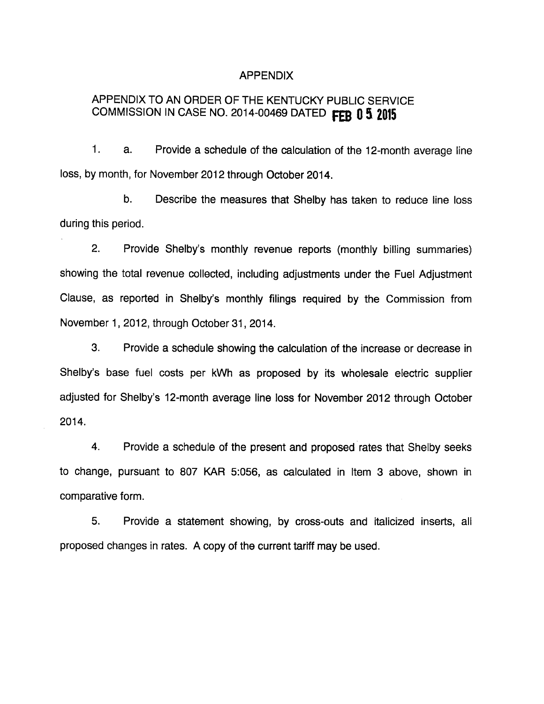#### APPENDIX

# APPENDIX TO AN ORDER OF THE KENTUCKY PUBLIC SERVICE COMMISSION IN CASE NO. 2014-00469 DATED FEB 0 5 2015

1. a. Provide a schedule of the calculation of the 12-month average line loss, by month, for November 2012 through October 2014.

b. Describe the measures that Shelby has taken to reduce line loss during this period.

2. Provide Shelby's monthly revenue reports (monthly billing summaries) showing the total revenue collected, including adjustments under the Fuel Adjustment Clause, as reported in Shelby's monthly filings required by the Commission from November 1, 2012, through October 31, 2014.

3. Provide a schedule showing the calculation of the increase or decrease in Shelby's base fuel costs per kWh as proposed by its wholesale electric supplier adjusted for Shelby's 12-month average line loss for November 2012 through October 2014.

4. Provide a schedule of the present and proposed rates that Shelby seeks to change, pursuant to 807 KAR 5:056, as calculated in Item 3 above, shown in comparative form.

5. Provide a statement showing, by cross-outs and italicized inserts, all proposed changes in rates. A copy of the current tariff may be used.